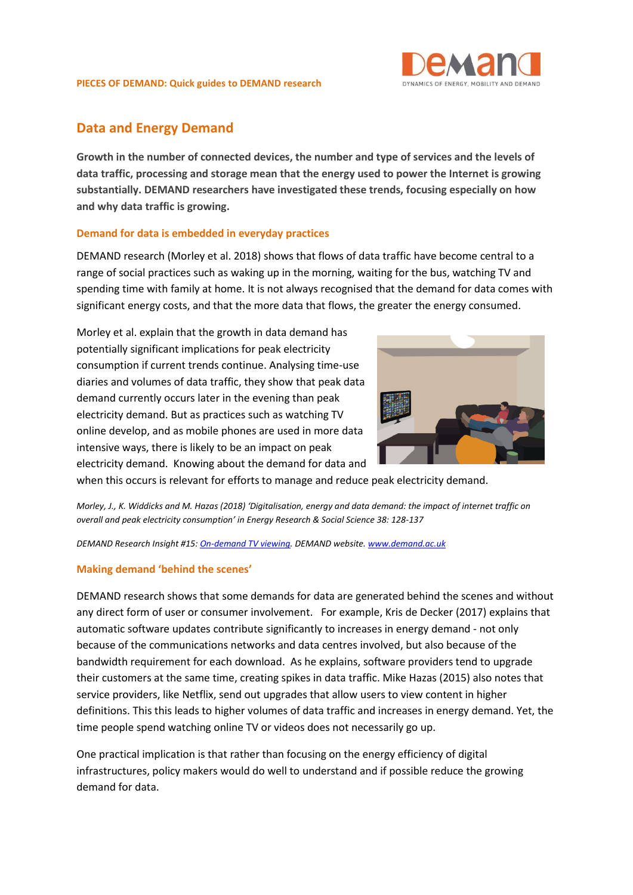

## **Data and Energy Demand**

**Growth in the number of connected devices, the number and type of services and the levels of data traffic, processing and storage mean that the energy used to power the Internet is growing substantially. DEMAND researchers have investigated these trends, focusing especially on how and why data traffic is growing.** 

## **Demand for data is embedded in everyday practices**

DEMAND research (Morley et al. 2018) shows that flows of data traffic have become central to a range of social practices such as waking up in the morning, waiting for the bus, watching TV and spending time with family at home. It is not always recognised that the demand for data comes with significant energy costs, and that the more data that flows, the greater the energy consumed.

Morley et al. explain that the growth in data demand has potentially significant implications for peak electricity consumption if current trends continue. Analysing time-use diaries and volumes of data traffic, they show that peak data demand currently occurs later in the evening than peak electricity demand. But as practices such as watching TV online develop, and as mobile phones are used in more data intensive ways, there is likely to be an impact on peak electricity demand. Knowing about the demand for data and



when this occurs is relevant for efforts to manage and reduce peak electricity demand.

*Morley, J., K. Widdicks and M. Hazas (2018) 'Digitalisation, energy and data demand: the impact of internet traffic on overall and peak electricity consumption' in Energy Research & Social Science 38: 128-137*

*DEMAND Research Insight #15[: On-demand TV viewing.](http://www.demand.ac.uk/wp-content/uploads/2018/02/demand-insight-15-final.pdf) DEMAND website. [www.demand.ac.uk](http://www.demand.ac.uk/)*

## **Making demand 'behind the scenes'**

DEMAND research shows that some demands for data are generated behind the scenes and without any direct form of user or consumer involvement. For example, Kris de Decker (2017) explains that automatic software updates contribute significantly to increases in energy demand - not only because of the communications networks and data centres involved, but also because of the bandwidth requirement for each download. As he explains, software providers tend to upgrade their customers at the same time, creating spikes in data traffic. Mike Hazas (2015) also notes that service providers, like Netflix, send out upgrades that allow users to view content in higher definitions. This this leads to higher volumes of data traffic and increases in energy demand. Yet, the time people spend watching online TV or videos does not necessarily go up.

One practical implication is that rather than focusing on the energy efficiency of digital infrastructures, policy makers would do well to understand and if possible reduce the growing demand for data.